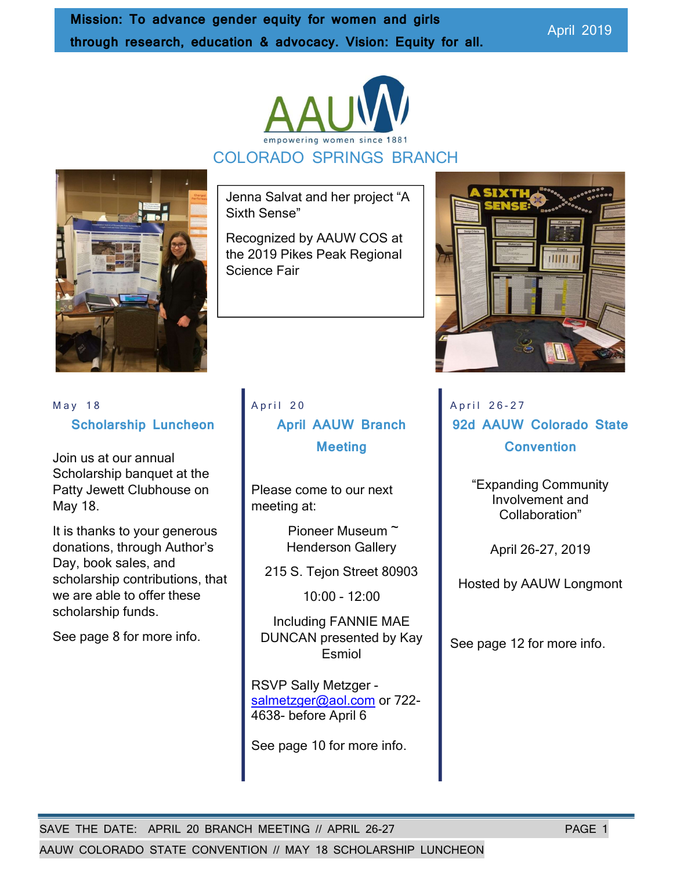April 2019





Jenna Salvat and her project "A Sixth Sense"

Recognized by AAUW COS at the 2019 Pikes Peak Regional Science Fair



 $May 18$ Scholarship Luncheon

Join us at our annual Scholarship banquet at the Patty Jewett Clubhouse on May 18.

It is thanks to your generous donations, through Author's Day, book sales, and scholarship contributions, that we are able to offer these scholarship funds.

See page 8 for more info.

April 20 April AAUW Branch **Meeting** 

Please come to our next meeting at:

> Pioneer Museum ~ Henderson Gallery

215 S. Tejon Street 80903

10:00 - 12:00

Including FANNIE MAE DUNCAN presented by Kay Esmiol

RSVP Sally Metzger salmetzger@aol.com or 722-4638- before April 6

See page 10 for more info.

April 26-27 92d AAUW Colorado State **Convention** 

> "Expanding Community Involvement and Collaboration"

> > April 26-27, 2019

Hosted by AAUW Longmont

See page 12 for more info.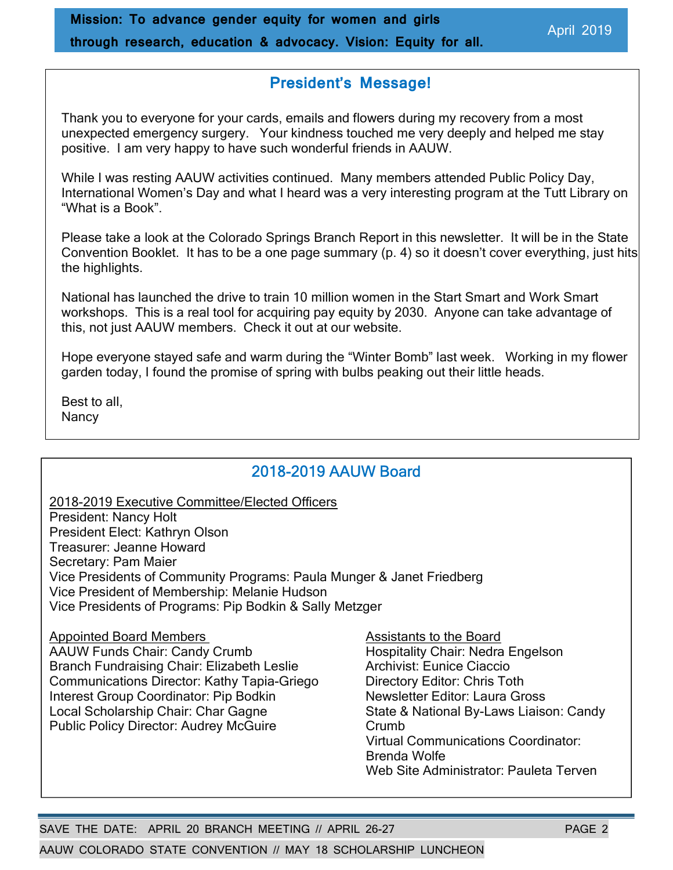## President's Message!

Thank you to everyone for your cards, emails and flowers during my recovery from a most unexpected emergency surgery. Your kindness touched me very deeply and helped me stay positive. I am very happy to have such wonderful friends in AAUW.

While I was resting AAUW activities continued. Many members attended Public Policy Day, International Women's Day and what I heard was a very interesting program at the Tutt Library on "What is a Book".

Please take a look at the Colorado Springs Branch Report in this newsletter. It will be in the State Convention Booklet. It has to be a one page summary (p. 4) so it doesn't cover everything, just hits the highlights.

National has launched the drive to train 10 million women in the Start Smart and Work Smart workshops. This is a real tool for acquiring pay equity by 2030. Anyone can take advantage of this, not just AAUW members. Check it out at our website.

Hope everyone stayed safe and warm during the "Winter Bomb" last week. Working in my flower garden today, I found the promise of spring with bulbs peaking out their little heads.

Best to all, **Nancy** 

## 2018-2019 AAUW Board

2018-2019 Executive Committee/Elected Officers President: Nancy Holt President Elect: Kathryn Olson Treasurer: Jeanne Howard Secretary: Pam Maier Vice Presidents of Community Programs: Paula Munger & Janet Friedberg Vice President of Membership: Melanie Hudson Vice Presidents of Programs: Pip Bodkin & Sally Metzger

Appointed Board Members Assistants to the Board AAUW Funds Chair: Candy Crumb Hospitality Chair: Nedra Engelson Branch Fundraising Chair: Elizabeth Leslie **Archivist: Eunice Ciaccio** Communications Director: Kathy Tapia-Griego **Directory Editor: Chris Toth** Interest Group Coordinator: Pip Bodkin Newsletter Editor: Laura Gross Local Scholarship Chair: Char Gagne State & National By-Laws Liaison: Candy Public Policy Director: Audrey McGuire Crumb

 Virtual Communications Coordinator: Brenda Wolfe Web Site Administrator: Pauleta Terven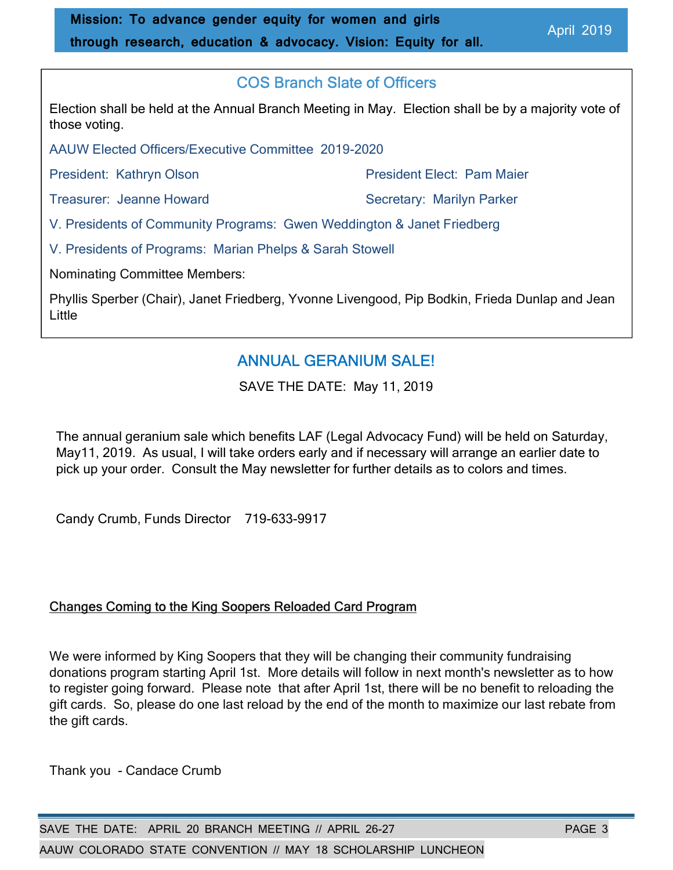## COS Branch Slate of Officers

Election shall be held at the Annual Branch Meeting in May. Election shall be by a majority vote of those voting.

AAUW Elected Officers/Executive Committee 2019-2020

President: Kathryn Olson **President Elect: Pam Maier** 

Treasurer: Jeanne Howard Secretary: Marilyn Parker

V. Presidents of Community Programs: Gwen Weddington & Janet Friedberg

V. Presidents of Programs: Marian Phelps & Sarah Stowell

Nominating Committee Members:

Phyllis Sperber (Chair), Janet Friedberg, Yvonne Livengood, Pip Bodkin, Frieda Dunlap and Jean Little

# ANNUAL GERANIUM SALE!

SAVE THE DATE: May 11, 2019

The annual geranium sale which benefits LAF (Legal Advocacy Fund) will be held on Saturday, May11, 2019. As usual, I will take orders early and if necessary will arrange an earlier date to pick up your order. Consult the May newsletter for further details as to colors and times.

Candy Crumb, Funds Director 719-633-9917

### Changes Coming to the King Soopers Reloaded Card Program

We were informed by King Soopers that they will be changing their community fundraising donations program starting April 1st. More details will follow in next month's newsletter as to how to register going forward. Please note that after April 1st, there will be no benefit to reloading the gift cards. So, please do one last reload by the end of the month to maximize our last rebate from the gift cards.

Thank you - Candace Crumb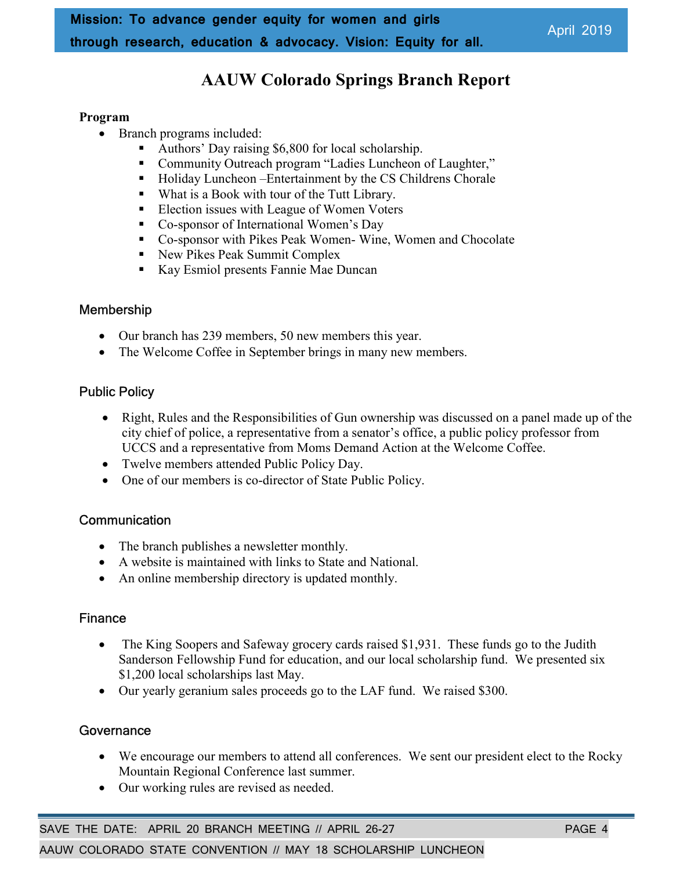# AAUW Colorado Springs Branch Report

#### Program

- Branch programs included:
	- Authors' Day raising \$6,800 for local scholarship.
	- Community Outreach program "Ladies Luncheon of Laughter,"
	- Holiday Luncheon –Entertainment by the CS Childrens Chorale
	- What is a Book with tour of the Tutt Library.
	- Election issues with League of Women Voters
	- Co-sponsor of International Women's Day
	- Co-sponsor with Pikes Peak Women- Wine, Women and Chocolate
	- New Pikes Peak Summit Complex
	- Kay Esmiol presents Fannie Mae Duncan

### Membership

- Our branch has 239 members, 50 new members this year.
- The Welcome Coffee in September brings in many new members.

### Public Policy

- Right, Rules and the Responsibilities of Gun ownership was discussed on a panel made up of the city chief of police, a representative from a senator's office, a public policy professor from UCCS and a representative from Moms Demand Action at the Welcome Coffee.
- Twelve members attended Public Policy Day.
- One of our members is co-director of State Public Policy.

### **Communication**

- The branch publishes a newsletter monthly.
- A website is maintained with links to State and National.
- An online membership directory is updated monthly.

### Finance

- The King Soopers and Safeway grocery cards raised \$1,931. These funds go to the Judith Sanderson Fellowship Fund for education, and our local scholarship fund. We presented six \$1,200 local scholarships last May.
- Our yearly geranium sales proceeds go to the LAF fund. We raised \$300.

### **Governance**

- We encourage our members to attend all conferences. We sent our president elect to the Rocky Mountain Regional Conference last summer.
- Our working rules are revised as needed.

SAVE THE DATE: APRIL 20 BRANCH MEETING // APRIL 26-27 PAGE 4

AAUW COLORADO STATE CONVENTION // MAY 18 SCHOLARSHIP LUNCHEON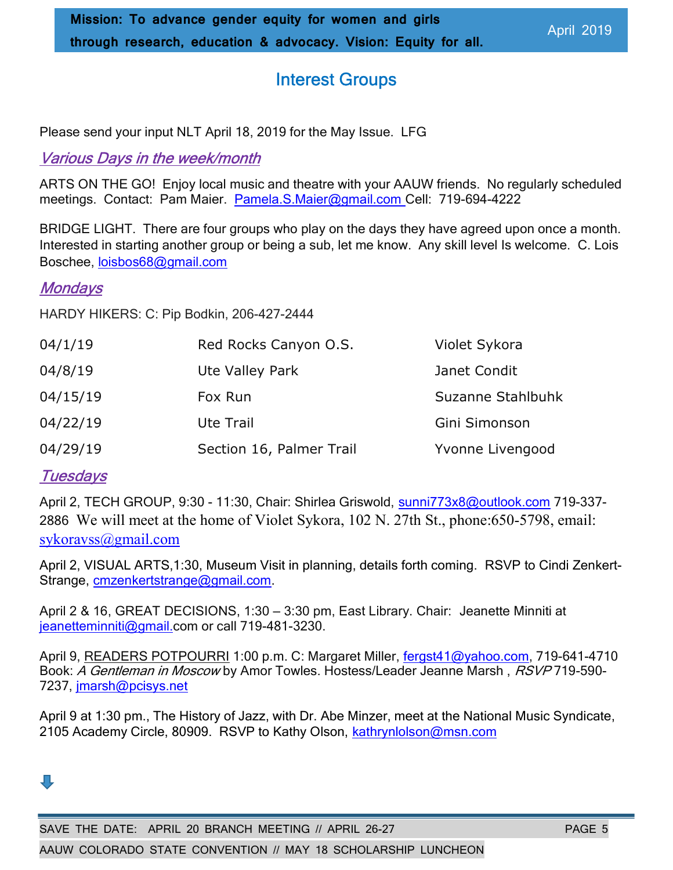# Interest Groups

Please send your input NLT April 18, 2019 for the May Issue. LFG

## Various Days in the week/month

ARTS ON THE GO! Enjoy local music and theatre with your AAUW friends. No regularly scheduled meetings. Contact: Pam Maier. Pamela.S.Maier@gmail.com Cell: 719-694-4222

BRIDGE LIGHT. There are four groups who play on the days they have agreed upon once a month. Interested in starting another group or being a sub, let me know. Any skill level Is welcome. C. Lois Boschee, loisbos68@gmail.com

### **Mondays**

HARDY HIKERS: C: Pip Bodkin, 206-427-2444

| 04/1/19  | Red Rocks Canyon O.S.    | Violet Sykora     |
|----------|--------------------------|-------------------|
| 04/8/19  | Ute Valley Park          | Janet Condit      |
| 04/15/19 | Fox Run                  | Suzanne Stahlbuhk |
| 04/22/19 | Ute Trail                | Gini Simonson     |
| 04/29/19 | Section 16, Palmer Trail | Yvonne Livengood  |

## **Tuesdays**

April 2, TECH GROUP, 9:30 - 11:30, Chair: Shirlea Griswold, sunni773x8@outlook.com 719-337-2886 We will meet at the home of Violet Sykora, 102 N. 27th St., phone:650-5798, email: sykoravss@gmail.com

April 2, VISUAL ARTS,1:30, Museum Visit in planning, details forth coming. RSVP to Cindi Zenkert-Strange, cmzenkertstrange@gmail.com.

April 2 & 16, GREAT DECISIONS, 1:30 – 3:30 pm, East Library. Chair: Jeanette Minniti at jeanetteminniti@gmail.com or call 719-481-3230.

April 9, READERS POTPOURRI 1:00 p.m. C: Margaret Miller, fergst41@yahoo.com, 719-641-4710 Book: A Gentleman in Moscow by Amor Towles. Hostess/Leader Jeanne Marsh, RSVP 719-590-7237, jmarsh@pcisys.net

April 9 at 1:30 pm., The History of Jazz, with Dr. Abe Minzer, meet at the National Music Syndicate, 2105 Academy Circle, 80909. RSVP to Kathy Olson, kathrynlolson@msn.com

# 几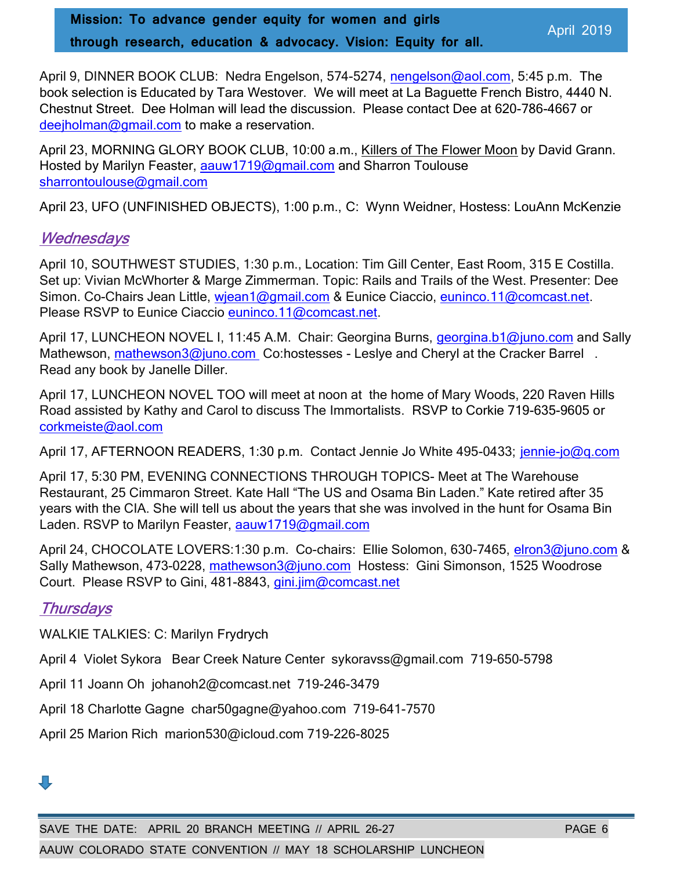Mission: To advance gender equity for women and girls through research, education & advocacy. Vision: Equity for all.

April 2019

April 9, DINNER BOOK CLUB: Nedra Engelson, 574-5274, nengelson@aol.com, 5:45 p.m. The book selection is Educated by Tara Westover. We will meet at La Baguette French Bistro, 4440 N. Chestnut Street. Dee Holman will lead the discussion. Please contact Dee at 620-786-4667 or deejholman@gmail.com to make a reservation.

April 23, MORNING GLORY BOOK CLUB, 10:00 a.m., Killers of The Flower Moon by David Grann. Hosted by Marilyn Feaster, aauw1719@gmail.com and Sharron Toulouse sharrontoulouse@gmail.com

April 23, UFO (UNFINISHED OBJECTS), 1:00 p.m., C: Wynn Weidner, Hostess: LouAnn McKenzie

### **Wednesdays**

April 10, SOUTHWEST STUDIES, 1:30 p.m., Location: Tim Gill Center, East Room, 315 E Costilla. Set up: Vivian McWhorter & Marge Zimmerman. Topic: Rails and Trails of the West. Presenter: Dee Simon. Co-Chairs Jean Little, wiean1@gmail.com & Eunice Ciaccio, euninco.11@comcast.net. Please RSVP to Eunice Ciaccio euninco.11@comcast.net.

April 17, LUNCHEON NOVEL I, 11:45 A.M. Chair: Georgina Burns, georgina.b1@juno.com and Sally Mathewson, mathewson3@juno.com Co:hostesses - Leslye and Cheryl at the Cracker Barrel. Read any book by Janelle Diller.

April 17, LUNCHEON NOVEL TOO will meet at noon at the home of Mary Woods, 220 Raven Hills Road assisted by Kathy and Carol to discuss The Immortalists. RSVP to Corkie 719-635-9605 or corkmeiste@aol.com

April 17, AFTERNOON READERS, 1:30 p.m. Contact Jennie Jo White 495-0433; jennie-jo@q.com

April 17, 5:30 PM, EVENING CONNECTIONS THROUGH TOPICS- Meet at The Warehouse Restaurant, 25 Cimmaron Street. Kate Hall "The US and Osama Bin Laden." Kate retired after 35 years with the CIA. She will tell us about the years that she was involved in the hunt for Osama Bin Laden. RSVP to Marilyn Feaster, aauw1719@gmail.com

April 24, CHOCOLATE LOVERS:1:30 p.m. Co-chairs: Ellie Solomon, 630-7465, elron3@juno.com & Sally Mathewson, 473-0228, mathewson3@juno.com Hostess: Gini Simonson, 1525 Woodrose Court. Please RSVP to Gini, 481-8843, gini.jim@comcast.net

## **Thursdays**

WALKIE TALKIES: C: Marilyn Frydrych

April 4 Violet Sykora Bear Creek Nature Center sykoravss@gmail.com 719-650-5798

April 11 Joann Oh johanoh2@comcast.net 719-246-3479

April 18 Charlotte Gagne char50gagne@yahoo.com 719-641-7570

April 25 Marion Rich marion530@icloud.com 719-226-8025

# 几

SAVE THE DATE: APRIL 20 BRANCH MEETING // APRIL 26-27 PAGE 6 AAUW COLORADO STATE CONVENTION // MAY 18 SCHOLARSHIP LUNCHEON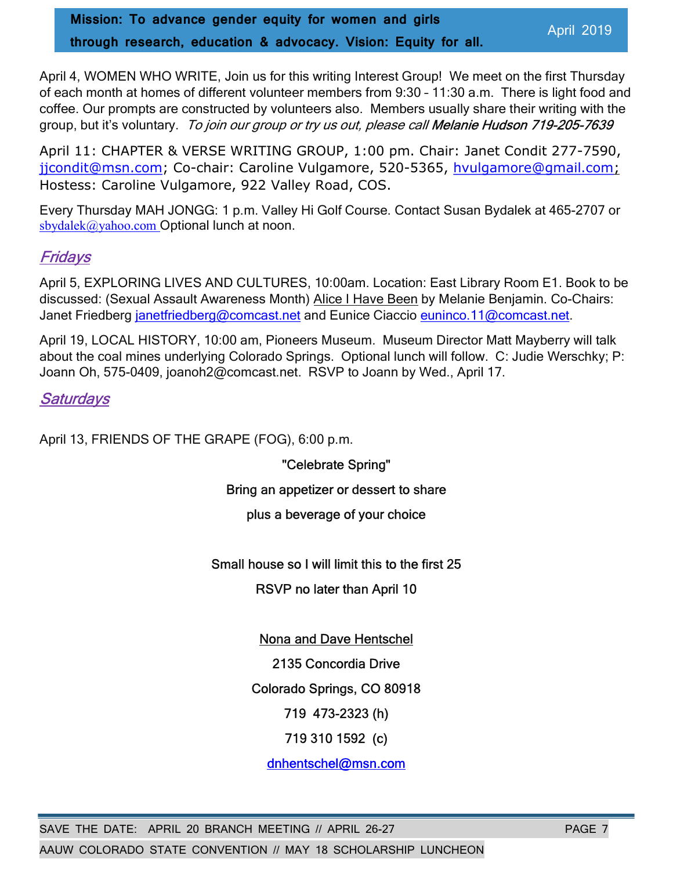Mission: To advance gender equity for women and girls through research, education & advocacy. Vision: Equity for all.

April 4, WOMEN WHO WRITE, Join us for this writing Interest Group! We meet on the first Thursday of each month at homes of different volunteer members from 9:30 – 11:30 a.m. There is light food and coffee. Our prompts are constructed by volunteers also. Members usually share their writing with the group, but it's voluntary. To join our group or try us out, please call Melanie Hudson 719-205-7639

April 11: CHAPTER & VERSE WRITING GROUP, 1:00 pm. Chair: Janet Condit 277-7590, jicondit@msn.com; Co-chair: Caroline Vulgamore, 520-5365, hvulgamore@gmail.com; Hostess: Caroline Vulgamore, 922 Valley Road, COS.

Every Thursday MAH JONGG: 1 p.m. Valley Hi Golf Course. Contact Susan Bydalek at 465-2707 or sbydalek@yahoo.com Optional lunch at noon.

# Fridays

April 5, EXPLORING LIVES AND CULTURES, 10:00am. Location: East Library Room E1. Book to be discussed: (Sexual Assault Awareness Month) Alice I Have Been by Melanie Benjamin. Co-Chairs: Janet Friedberg janetfriedberg@comcast.net and Eunice Ciaccio euninco.11@comcast.net.

April 19, LOCAL HISTORY, 10:00 am, Pioneers Museum. Museum Director Matt Mayberry will talk about the coal mines underlying Colorado Springs. Optional lunch will follow. C: Judie Werschky; P: Joann Oh, 575-0409, joanoh2@comcast.net. RSVP to Joann by Wed., April 17.

# **Saturdays**

April 13, FRIENDS OF THE GRAPE (FOG), 6:00 p.m.

"Celebrate Spring"

### Bring an appetizer or dessert to share

### plus a beverage of your choice

### Small house so I will limit this to the first 25

RSVP no later than April 10

### Nona and Dave Hentschel

2135 Concordia Drive

Colorado Springs, CO 80918

719 473-2323 (h)

719 310 1592 (c)

dnhentschel@msn.com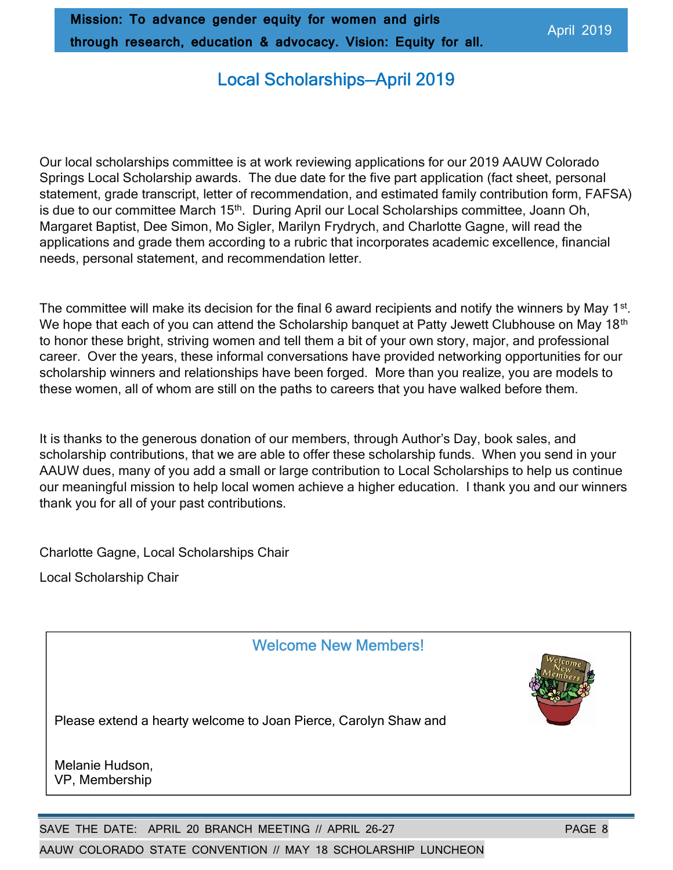# Local Scholarships—April 2019

Our local scholarships committee is at work reviewing applications for our 2019 AAUW Colorado Springs Local Scholarship awards. The due date for the five part application (fact sheet, personal statement, grade transcript, letter of recommendation, and estimated family contribution form, FAFSA) is due to our committee March 15<sup>th</sup>. During April our Local Scholarships committee, Joann Oh, Margaret Baptist, Dee Simon, Mo Sigler, Marilyn Frydrych, and Charlotte Gagne, will read the applications and grade them according to a rubric that incorporates academic excellence, financial needs, personal statement, and recommendation letter.

The committee will make its decision for the final 6 award recipients and notify the winners by May 1<sup>st</sup>. We hope that each of you can attend the Scholarship banquet at Patty Jewett Clubhouse on May 18<sup>th</sup> to honor these bright, striving women and tell them a bit of your own story, major, and professional career. Over the years, these informal conversations have provided networking opportunities for our scholarship winners and relationships have been forged. More than you realize, you are models to these women, all of whom are still on the paths to careers that you have walked before them.

It is thanks to the generous donation of our members, through Author's Day, book sales, and scholarship contributions, that we are able to offer these scholarship funds. When you send in your AAUW dues, many of you add a small or large contribution to Local Scholarships to help us continue our meaningful mission to help local women achieve a higher education. I thank you and our winners thank you for all of your past contributions.

Charlotte Gagne, Local Scholarships Chair

Local Scholarship Chair

## Welcome New Members!



Please extend a hearty welcome to Joan Pierce, Carolyn Shaw and

Melanie Hudson, VP, Membership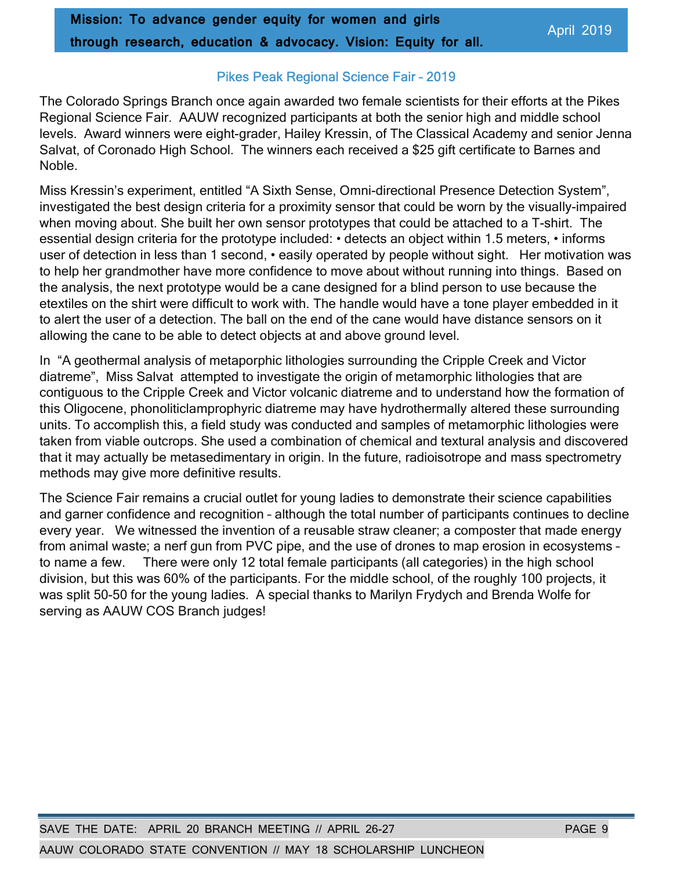### Pikes Peak Regional Science Fair – 2019

The Colorado Springs Branch once again awarded two female scientists for their efforts at the Pikes Regional Science Fair. AAUW recognized participants at both the senior high and middle school levels. Award winners were eight-grader, Hailey Kressin, of The Classical Academy and senior Jenna Salvat, of Coronado High School. The winners each received a \$25 gift certificate to Barnes and Noble.

Miss Kressin's experiment, entitled "A Sixth Sense, Omni-directional Presence Detection System", investigated the best design criteria for a proximity sensor that could be worn by the visually-impaired when moving about. She built her own sensor prototypes that could be attached to a T-shirt. The essential design criteria for the prototype included: • detects an object within 1.5 meters, • informs user of detection in less than 1 second, • easily operated by people without sight. Her motivation was to help her grandmother have more confidence to move about without running into things. Based on the analysis, the next prototype would be a cane designed for a blind person to use because the etextiles on the shirt were difficult to work with. The handle would have a tone player embedded in it to alert the user of a detection. The ball on the end of the cane would have distance sensors on it allowing the cane to be able to detect objects at and above ground level.

In "A geothermal analysis of metaporphic lithologies surrounding the Cripple Creek and Victor diatreme", Miss Salvat attempted to investigate the origin of metamorphic lithologies that are contiguous to the Cripple Creek and Victor volcanic diatreme and to understand how the formation of this Oligocene, phonoliticlamprophyric diatreme may have hydrothermally altered these surrounding units. To accomplish this, a field study was conducted and samples of metamorphic lithologies were taken from viable outcrops. She used a combination of chemical and textural analysis and discovered that it may actually be metasedimentary in origin. In the future, radioisotrope and mass spectrometry methods may give more definitive results.

The Science Fair remains a crucial outlet for young ladies to demonstrate their science capabilities and garner confidence and recognition – although the total number of participants continues to decline every year. We witnessed the invention of a reusable straw cleaner; a composter that made energy from animal waste; a nerf gun from PVC pipe, and the use of drones to map erosion in ecosystems – to name a few. There were only 12 total female participants (all categories) in the high school division, but this was 60% of the participants. For the middle school, of the roughly 100 projects, it was split 50-50 for the young ladies. A special thanks to Marilyn Frydych and Brenda Wolfe for serving as AAUW COS Branch judges!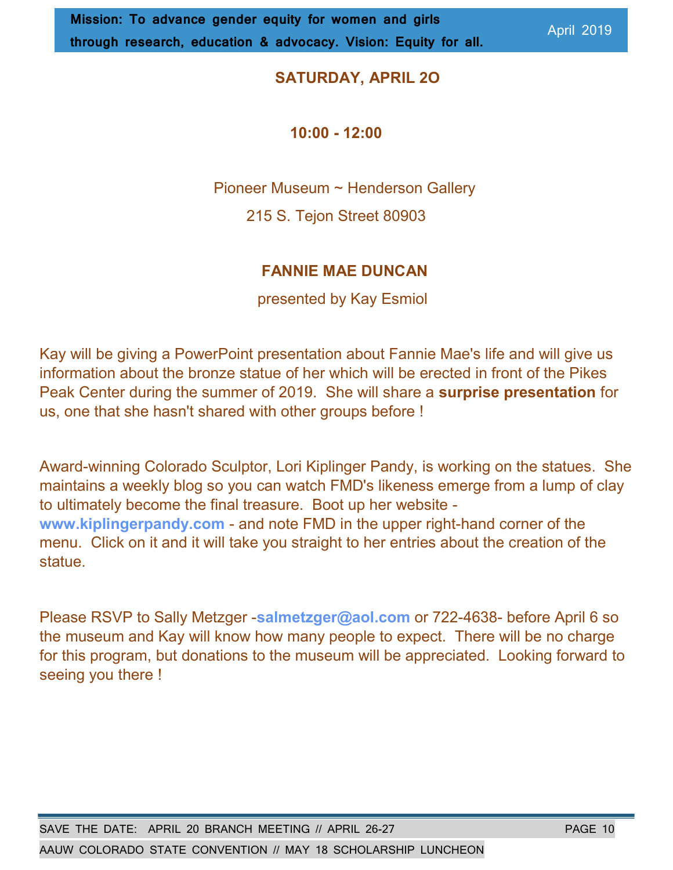## SATURDAY, APRIL 2O

### 10:00 - 12:00

Pioneer Museum ~ Henderson Gallery

215 S. Tejon Street 80903

## FANNIE MAE DUNCAN

presented by Kay Esmiol

Kay will be giving a PowerPoint presentation about Fannie Mae's life and will give us information about the bronze statue of her which will be erected in front of the Pikes Peak Center during the summer of 2019. She will share a surprise presentation for us, one that she hasn't shared with other groups before !

Award-winning Colorado Sculptor, Lori Kiplinger Pandy, is working on the statues. She maintains a weekly blog so you can watch FMD's likeness emerge from a lump of clay to ultimately become the final treasure. Boot up her website www.kiplingerpandy.com - and note FMD in the upper right-hand corner of the menu. Click on it and it will take you straight to her entries about the creation of the statue.

Please RSVP to Sally Metzger -salmetzger@aol.com or 722-4638- before April 6 so the museum and Kay will know how many people to expect. There will be no charge for this program, but donations to the museum will be appreciated. Looking forward to seeing you there !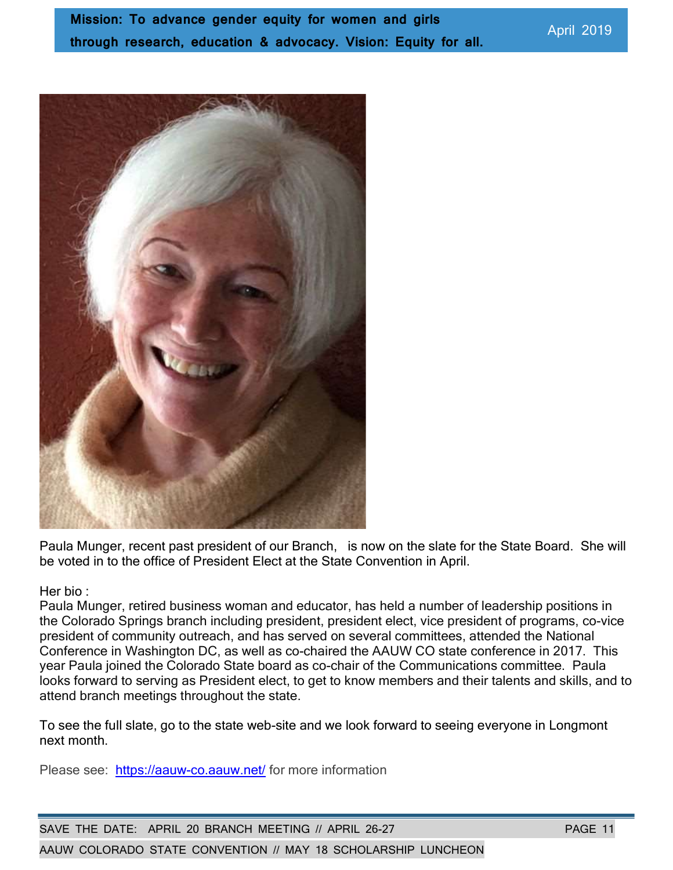

Paula Munger, recent past president of our Branch, is now on the slate for the State Board. She will be voted in to the office of President Elect at the State Convention in April.

#### Her bio :

Paula Munger, retired business woman and educator, has held a number of leadership positions in the Colorado Springs branch including president, president elect, vice president of programs, co-vice president of community outreach, and has served on several committees, attended the National Conference in Washington DC, as well as co-chaired the AAUW CO state conference in 2017. This year Paula joined the Colorado State board as co-chair of the Communications committee. Paula looks forward to serving as President elect, to get to know members and their talents and skills, and to attend branch meetings throughout the state.

To see the full slate, go to the state web-site and we look forward to seeing everyone in Longmont next month.

Please see: https://aauw-co.aauw.net/ for more information